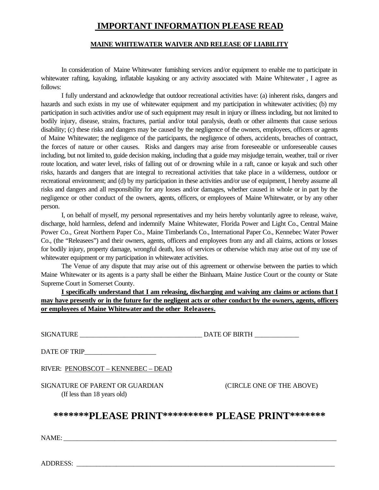## **IMPORTANT INFORMATION PLEASE READ**

## **MAINE WHITEWATER WAIVER AND RELEASE OF LIABILITY**

In consideration of Maine Whitewater furnishing services and/or equipment to enable me to participate in whitewater rafting, kayaking, inflatable kayaking or any activity associated with Maine Whitewater , I agree as follows:

I fully understand and acknowledge that outdoor recreational activities have: (a) inherent risks, dangers and hazards and such exists in my use of whitewater equipment and my participation in whitewater activities; (b) my participation in such activities and/or use of such equipment may result in injury or illness including, but not limited to bodily injury, disease, strains, fractures, partial and/or total paralysis, death or other ailments that cause serious disability; (c) these risks and dangers may be caused by the negligence of the owners, employees, officers or agents of Maine Whitewater; the negligence of the participants, the negligence of others, accidents, breaches of contract, the forces of nature or other causes. Risks and dangers may arise from foreseeable or unforeseeable causes including, but not limited to, guide decision making, including that a guide may misjudge terrain, weather, trail or river route location, and water level, risks of falling out of or drowning while in a raft, canoe or kayak and such other risks, hazards and dangers that are integral to recreational activities that take place in a wilderness, outdoor or recreational environment; and (d) by my participation in these activities and/or use of equipment, I hereby assume all risks and dangers and all responsibility for any losses and/or damages, whether caused in whole or in part by the negligence or other conduct of the owners, agents, officers, or employees of Maine Whitewater, or by any other person.

I, on behalf of myself, my personal representatives and my heirs hereby voluntarily agree to release, waive, discharge, hold harmless, defend and indemnify Maine Whitewater, Florida Power and Light Co., Central Maine Power Co., Great Northern Paper Co., Maine Timberlands Co., International Paper Co., Kennebec Water Power Co., (the "Releasees") and their owners, agents, officers and employees from any and all claims, actions or losses for bodily injury, property damage, wrongful death, loss of services or otherwise which may arise out of my use of whitewater equipment or my participation in whitewater activities.

The Venue of any dispute that may arise out of this agreement or otherwise between the parties to which Maine Whitewater or its agents is a party shall be either the Binhaam, Maine Justice Court or the county or State Supreme Court in Somerset County.

**I specifically understand that I am releasing, discharging and waiving any claims or actions that I may have presently or in the future for the negligent acts or other conduct by the owners, agents, officers or employees of Maine Whitewater and the other Releasees.**

SIGNATURE \_\_\_\_\_\_\_\_\_\_\_\_\_\_\_\_\_\_\_\_\_\_\_\_\_\_\_\_\_\_\_\_\_\_\_\_ DATE OF BIRTH \_\_\_\_\_\_\_\_\_\_\_\_\_

DATE OF TRIP\_\_\_\_\_\_\_\_\_\_\_\_\_\_\_\_\_\_\_\_\_

RIVER: PENOBSCOT – KENNEBEC – DEAD

SIGNATURE OF PARENT OR GUARDIAN (CIRCLE ONE OF THE ABOVE) (If less than 18 years old)

## **\*\*\*\*\*\*\*PLEASE PRINT\*\*\*\*\*\*\*\*\*\* PLEASE PRINT\*\*\*\*\*\*\***

 $NAME:$ 

ADDRESS: \_\_\_\_\_\_\_\_\_\_\_\_\_\_\_\_\_\_\_\_\_\_\_\_\_\_\_\_\_\_\_\_\_\_\_\_\_\_\_\_\_\_\_\_\_\_\_\_\_\_\_\_\_\_\_\_\_\_\_\_\_\_\_\_\_\_\_\_\_\_\_\_\_\_\_\_